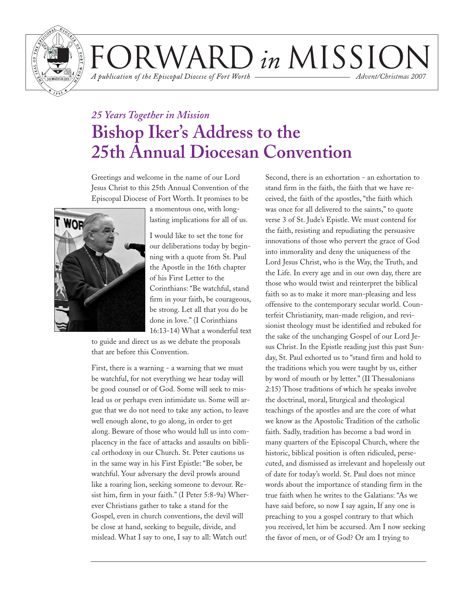

VARD in MISSIO A publication of the Episcopal Diocese of Fort Worth *Advent/Christmas 2007*

### *25 Years Together in Mission* **Bishop Iker's Address to the 25th Annual Diocesan Convention**

Greetings and welcome in the name of our Lord Jesus Christ to this 25th Annual Convention of the Episcopal Diocese of Fort Worth. It promises to be



a momentous one, with longlasting implications for all of us.

I would like to set the tone for our deliberations today by beginning with a quote from St. Paul the Apostle in the 16th chapter of his First Letter to the Corinthians: "Be watchful, stand firm in your faith, be courageous, be strong. Let all that you do be done in love." (I Corinthians 16:13-14) What a wonderful text

to guide and direct us as we debate the proposals that are before this Convention.

First, there is a warning - a warning that we must be watchful, for not everything we hear today will be good counsel or of God. Some will seek to mislead us or perhaps even intimidate us. Some will argue that we do not need to take any action, to leave well enough alone, to go along, in order to get along. Beware of those who would lull us into complacency in the face of attacks and assaults on biblical orthodoxy in our Church. St. Peter cautions us in the same way in his First Epistle: "Be sober, be watchful. Your adversary the devil prowls around like a roaring lion, seeking someone to devour. Resist him, firm in your faith." (I Peter 5:8-9a) Wherever Christians gather to take a stand for the Gospel, even in church conventions, the devil will be close at hand, seeking to beguile, divide, and mislead. What I say to one, I say to all: Watch out!

Second, there is an exhortation - an exhortation to stand firm in the faith, the faith that we have received, the faith of the apostles, "the faith which was once for all delivered to the saints," to quote verse 3 of St. Jude's Epistle. We must contend for the faith, resisting and repudiating the persuasive innovations of those who pervert the grace of God into immorality and deny the uniqueness of the Lord Jesus Christ, who is the Way, the Truth, and the Life. In every age and in our own day, there are those who would twist and reinterpret the biblical faith so as to make it more man-pleasing and less offensive to the contemporary secular world. Counterfeit Christianity, man-made religion, and revisionist theology must be identified and rebuked for the sake of the unchanging Gospel of our Lord Jesus Christ. In the Epistle reading just this past Sunday, St. Paul exhorted us to "stand firm and hold to the traditions which you were taught by us, either by word of mouth or by letter." (II Thessalonians 2:15) Those traditions of which he speaks involve the doctrinal, moral, liturgical and theological teachings of the apostles and are the core of what we know as the Apostolic Tradition of the catholic faith. Sadly, tradition has become a bad word in many quarters of the Episcopal Church, where the historic, biblical position is often ridiculed, persecuted, and dismissed as irrelevant and hopelessly out of date for today's world. St. Paul does not mince words about the importance of standing firm in the true faith when he writes to the Galatians: "As we have said before, so now I say again, If any one is preaching to you a gospel contrary to that which you received, let him be accursed. Am I now seeking the favor of men, or of God? Or am I trying to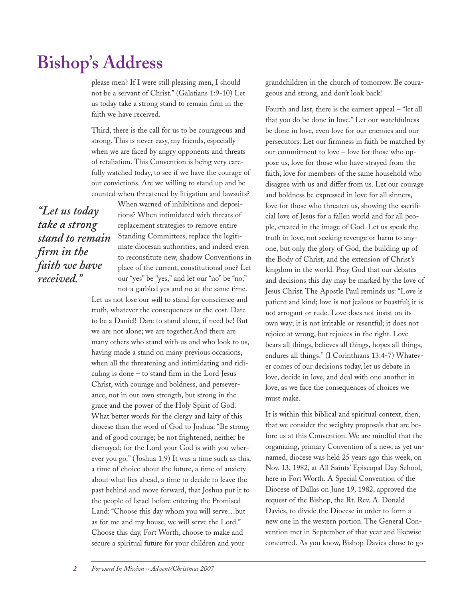please men? If I were still pleasing men, I should not be a servant of Christ." (Galatians 1:9-10) Let us today take a strong stand to remain firm in the faith we have received.

Third, there is the call for us to be courageous and strong. This is never easy, my friends, especially when we are faced by angry opponents and threats of retaliation. This Convention is being very carefully watched today, to see if we have the courage of our convictions. Are we willing to stand up and be counted when threatened by litigation and lawsuits?

*"Let us today take a strong stand to remain firm in the faith we have received."*

When warned of inhibitions and depositions? When intimidated with threats of replacement strategies to remove entire Standing Committees, replace the legitimate diocesan authorities, and indeed even to reconstitute new, shadow Conventions in place of the current, constitutional one? Let our "yes" be "yes," and let our "no" be "no," not a garbled yes and no at the same time.

Let us not lose our will to stand for conscience and truth, whatever the consequences or the cost. Dare to be a Daniel! Dare to stand alone, if need be! But we are not alone; we are together.And there are many others who stand with us and who look to us, having made a stand on many previous occasions, when all the threatening and intimidating and ridiculing is done – to stand firm in the Lord Jesus Christ, with courage and boldness, and perseverance, not in our own strength, but strong in the grace and the power of the Holy Spirit of God. What better words for the clergy and laity of this diocese than the word of God to Joshua: "Be strong and of good courage; be not frightened, neither be dismayed; for the Lord your God is with you wherever you go." ( Joshua 1:9) It was a time such as this, a time of choice about the future, a time of anxiety about what lies ahead, a time to decide to leave the past behind and move forward, that Joshua put it to the people of Israel before entering the Promised Land: "Choose this day whom you will serve…but as for me and my house, we will serve the Lord." Choose this day, Fort Worth, choose to make and secure a spiritual future for your children and your

grandchildren in the church of tomorrow. Be courageous and strong, and don't look back!

Fourth and last, there is the earnest appeal – "let all that you do be done in love." Let our watchfulness be done in love, even love for our enemies and our persecutors. Let our firmness in faith be matched by our commitment to love – love for those who oppose us, love for those who have strayed from the faith, love for members of the same household who disagree with us and differ from us. Let our courage and boldness be expressed in love for all sinners, love for those who threaten us, showing the sacrificial love of Jesus for a fallen world and for all people, created in the image of God. Let us speak the truth in love, not seeking revenge or harm to anyone, but only the glory of God, the building up of the Body of Christ, and the extension of Christ's kingdom in the world. Pray God that our debates and decisions this day may be marked by the love of Jesus Christ. The Apostle Paul reminds us: "Love is patient and kind; love is not jealous or boastful; it is not arrogant or rude. Love does not insist on its own way; it is not irritable or resentful; it does not rejoice at wrong, but rejoices in the right. Love bears all things, believes all things, hopes all things, endures all things." (I Corinthians 13:4-7) Whatever comes of our decisions today, let us debate in love, decide in love, and deal with one another in love, as we face the consequences of choices we must make.

It is within this biblical and spiritual context, then, that we consider the weighty proposals that are before us at this Convention. We are mindful that the organizing, primary Convention of a new, as yet unnamed, diocese was held 25 years ago this week, on Nov. 13, 1982, at All Saints' Episcopal Day School, here in Fort Worth. A Special Convention of the Diocese of Dallas on June 19, 1982, approved the request of the Bishop, the Rt. Rev. A. Donald Davies, to divide the Diocese in order to form a new one in the western portion. The General Convention met in September of that year and likewise concurred. As you know, Bishop Davies chose to go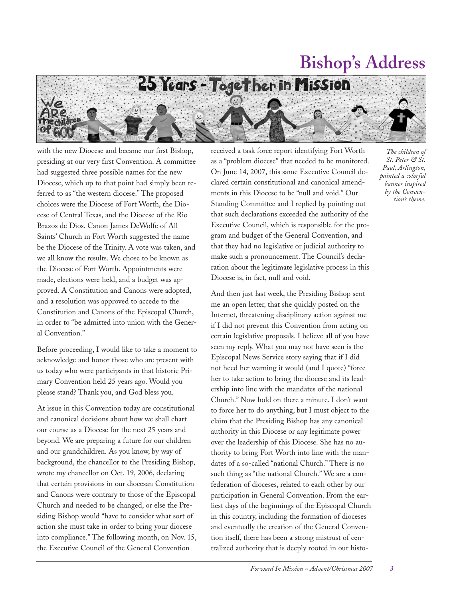

with the new Diocese and became our first Bishop, presiding at our very first Convention. A committee had suggested three possible names for the new Diocese, which up to that point had simply been referred to as "the western diocese." The proposed choices were the Diocese of Fort Worth, the Diocese of Central Texas, and the Diocese of the Rio Brazos de Dios. Canon James DeWolfe of All Saints' Church in Fort Worth suggested the name be the Diocese of the Trinity. A vote was taken, and we all know the results. We chose to be known as the Diocese of Fort Worth. Appointments were made, elections were held, and a budget was approved. A Constitution and Canons were adopted, and a resolution was approved to accede to the Constitution and Canons of the Episcopal Church, in order to "be admitted into union with the General Convention."

Before proceeding, I would like to take a moment to acknowledge and honor those who are present with us today who were participants in that historic Primary Convention held 25 years ago. Would you please stand? Thank you, and God bless you.

At issue in this Convention today are constitutional and canonical decisions about how we shall chart our course as a Diocese for the next 25 years and beyond. We are preparing a future for our children and our grandchildren. As you know, by way of background, the chancellor to the Presiding Bishop, wrote my chancellor on Oct. 19, 2006, declaring that certain provisions in our diocesan Constitution and Canons were contrary to those of the Episcopal Church and needed to be changed, or else the Presiding Bishop would "have to consider what sort of action she must take in order to bring your diocese into compliance." The following month, on Nov. 15, the Executive Council of the General Convention

received a task force report identifying Fort Worth as a "problem diocese" that needed to be monitored. On June 14, 2007, this same Executive Council declared certain constitutional and canonical amendments in this Diocese to be "null and void." Our Standing Committee and I replied by pointing out that such declarations exceeded the authority of the Executive Council, which is responsible for the program and budget of the General Convention, and that they had no legislative or judicial authority to make such a pronouncement. The Council's declaration about the legitimate legislative process in this Diocese is, in fact, null and void.

And then just last week, the Presiding Bishop sent me an open letter, that she quickly posted on the Internet, threatening disciplinary action against me if I did not prevent this Convention from acting on certain legislative proposals. I believe all of you have seen my reply. What you may not have seen is the Episcopal News Service story saying that if I did not heed her warning it would (and I quote) "force her to take action to bring the diocese and its leadership into line with the mandates of the national Church." Now hold on there a minute. I don't want to force her to do anything, but I must object to the claim that the Presiding Bishop has any canonical authority in this Diocese or any legitimate power over the leadership of this Diocese. She has no authority to bring Fort Worth into line with the mandates of a so-called "national Church." There is no such thing as "the national Church." We are a confederation of dioceses, related to each other by our participation in General Convention. From the earliest days of the beginnings of the Episcopal Church in this country, including the formation of dioceses and eventually the creation of the General Convention itself, there has been a strong mistrust of centralized authority that is deeply rooted in our histo-

*Paul, Arlington, painted a colorful banner inspired by the Convention's theme.*

*The children of St. Peter & St.*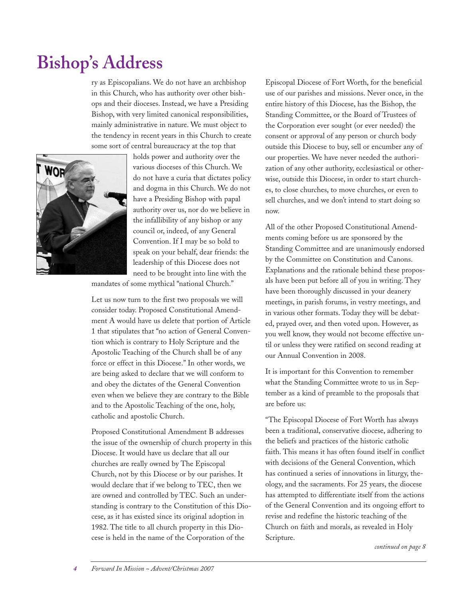ry as Episcopalians. We do not have an archbishop in this Church, who has authority over other bishops and their dioceses. Instead, we have a Presiding Bishop, with very limited canonical responsibilities, mainly administrative in nature. We must object to the tendency in recent years in this Church to create some sort of central bureaucracy at the top that



holds power and authority over the various dioceses of this Church. We do not have a curia that dictates policy and dogma in this Church. We do not have a Presiding Bishop with papal authority over us, nor do we believe in the infallibility of any bishop or any council or, indeed, of any General Convention. If I may be so bold to speak on your behalf, dear friends: the leadership of this Diocese does not need to be brought into line with the

mandates of some mythical "national Church."

Let us now turn to the first two proposals we will consider today. Proposed Constitutional Amendment A would have us delete that portion of Article 1 that stipulates that "no action of General Convention which is contrary to Holy Scripture and the Apostolic Teaching of the Church shall be of any force or effect in this Diocese." In other words, we are being asked to declare that we will conform to and obey the dictates of the General Convention even when we believe they are contrary to the Bible and to the Apostolic Teaching of the one, holy, catholic and apostolic Church.

Proposed Constitutional Amendment B addresses the issue of the ownership of church property in this Diocese. It would have us declare that all our churches are really owned by The Episcopal Church, not by this Diocese or by our parishes. It would declare that if we belong to TEC, then we are owned and controlled by TEC. Such an understanding is contrary to the Constitution of this Diocese, as it has existed since its original adoption in 1982. The title to all church property in this Diocese is held in the name of the Corporation of the

Episcopal Diocese of Fort Worth, for the beneficial use of our parishes and missions. Never once, in the entire history of this Diocese, has the Bishop, the Standing Committee, or the Board of Trustees of the Corporation ever sought (or ever needed) the consent or approval of any person or church body outside this Diocese to buy, sell or encumber any of our properties. We have never needed the authorization of any other authority, ecclesiastical or otherwise, outside this Diocese, in order to start churches, to close churches, to move churches, or even to sell churches, and we don't intend to start doing so now.

All of the other Proposed Constitutional Amendments coming before us are sponsored by the Standing Committee and are unanimously endorsed by the Committee on Constitution and Canons. Explanations and the rationale behind these proposals have been put before all of you in writing. They have been thoroughly discussed in your deanery meetings, in parish forums, in vestry meetings, and in various other formats. Today they will be debated, prayed over, and then voted upon. However, as you well know, they would not become effective until or unless they were ratified on second reading at our Annual Convention in 2008.

It is important for this Convention to remember what the Standing Committee wrote to us in September as a kind of preamble to the proposals that are before us:

"The Episcopal Diocese of Fort Worth has always been a traditional, conservative diocese, adhering to the beliefs and practices of the historic catholic faith. This means it has often found itself in conflict with decisions of the General Convention, which has continued a series of innovations in liturgy, theology, and the sacraments. For 25 years, the diocese has attempted to differentiate itself from the actions of the General Convention and its ongoing effort to revise and redefine the historic teaching of the Church on faith and morals, as revealed in Holy Scripture.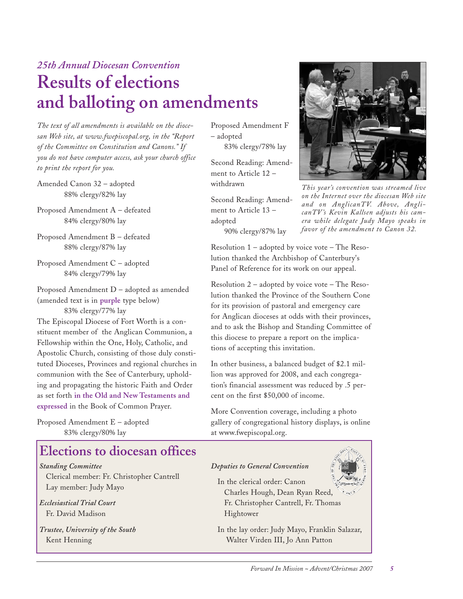### *25th Annual Diocesan Convention* **Results of elections and balloting on amendments**

*The text of all amendments is available on the diocesan Web site, at www.fwepiscopal.org, in the "Report of the Committee on Constitution and Canons." If you do not have computer access, ask your church office to print the report for you.*

- Amended Canon 32 adopted 88% clergy/82% lay
- Proposed Amendment A defeated 84% clergy/80% lay
- Proposed Amendment B defeated 88% clergy/87% lay
- Proposed Amendment C adopted 84% clergy/79% lay
- Proposed Amendment D adopted as amended (amended text is in **purple** type below)

83% clergy/77% lay

The Episcopal Diocese of Fort Worth is a constituent member of the Anglican Communion, a Fellowship within the One, Holy, Catholic, and Apostolic Church, consisting of those duly constituted Dioceses, Provinces and regional churches in communion with the See of Canterbury, upholding and propagating the historic Faith and Order as set forth **in the Old and New Testaments and expressed** in the Book of Common Prayer.

Proposed Amendment E – adopted 83% clergy/80% lay

### **Elections to diocesan offices**

*Standing Committee* Clerical member: Fr. Christopher Cantrell Lay member: Judy Mayo

*Ecclesiastical Trial Court* Fr. David Madison

*Trustee, University of the South* Kent Henning

Proposed Amendment F – adopted

83% clergy/78% lay

Second Reading: Amendment to Article 12 – withdrawn

Second Reading: Amendment to Article 13 – adopted

90% clergy/87% lay

Resolution 1 – adopted by voice vote – The Resolution thanked the Archbishop of Canterbury's Panel of Reference for its work on our appeal.

Resolution 2 – adopted by voice vote – The Resolution thanked the Province of the Southern Cone for its provision of pastoral and emergency care for Anglican dioceses at odds with their provinces, and to ask the Bishop and Standing Committee of this diocese to prepare a report on the implications of accepting this invitation.

In other business, a balanced budget of \$2.1 million was approved for 2008, and each congregation's financial assessment was reduced by .5 percent on the first \$50,000 of income.

More Convention coverage, including a photo gallery of congregational history displays, is online at www.fwepiscopal.org.

#### *Deputies to General Convention*

In the clerical order: Canon Charles Hough, Dean Ryan Reed, Fr. Christopher Cantrell, Fr. Thomas Hightower

In the lay order: Judy Mayo, Franklin Salazar, Walter Virden III, Jo Ann Patton



*This year's convention was streamed live on the Internet over the diocesan Web site and on AnglicanTV. Above, AnglicanTV 's Kevin Kallsen adjusts his camera while delegate Judy Mayo speaks in favor of the amendment to Canon 32.*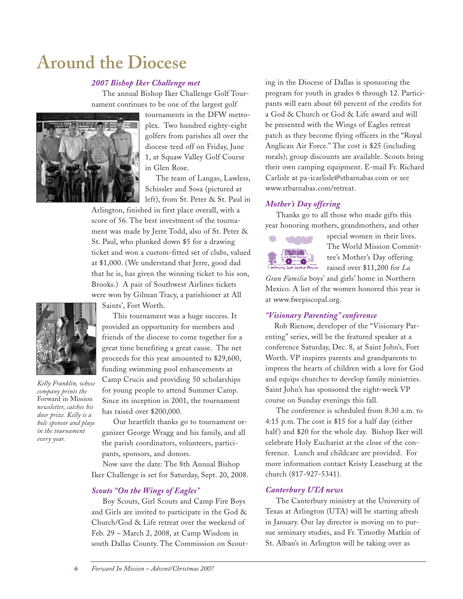## **Around the Diocese**

#### *2007 Bishop Iker Challenge met*

The annual Bishop Iker Challenge Golf Tournament continues to be one of the largest golf



tournaments in the DFW metroplex. Two hundred eighty-eight golfers from parishes all over the diocese teed off on Friday, June 1, at Squaw Valley Golf Course in Glen Rose.

The team of Langas, Lawless, Schissler and Sosa (pictured at left), from St. Peter & St. Paul in

Arlington, finished in first place overall, with a score of 56. The best investment of the tournament was made by Jerre Todd, also of St. Peter & St. Paul, who plunked down \$5 for a drawing ticket and won a custom-fitted set of clubs, valued at \$1,000. (We understand that Jerre, good dad that he is, has given the winning ticket to his son, Brooks.) A pair of Southwest Airlines tickets were won by Gilman Tracy, a parishioner at All

Saints', Fort Worth.

This tournament was a huge success. It provided an opportunity for members and friends of the diocese to come together for a great time benefiting a great cause. The net proceeds for this year amounted to \$29,600, funding swimming pool enhancements at Camp Crucis and providing 50 scholarships for young people to attend Summer Camp. Since its inception in 2001, the tournament has raised over \$200,000.

Our heartfelt thanks go to tournament organizer George Wragg and his family, and all the parish coordinators, volunteers, participants, sponsors, and donors.

Now save the date: The 8th Annual Bishop Iker Challenge is set for Saturday, Sept. 20, 2008.

#### *Scouts "On the Wings of Eagles"*

Boy Scouts, Girl Scouts and Camp Fire Boys and Girls are invited to participate in the God & Church/God & Life retreat over the weekend of Feb. 29 – March 2, 2008, at Camp Wisdom in south Dallas County. The Commission on Scout-

ing in the Diocese of Dallas is sponsoring the program for youth in grades 6 through 12. Participants will earn about 60 percent of the credits for a God & Church or God & Life award and will be presented with the Wings of Eagles retreat patch as they become flying officers in the "Royal Anglican Air Force." The cost is \$25 (including meals); group discounts are available. Scouts bring their own camping equipment. E-mail Fr. Richard Carlisle at pa-icarlisle@stbarnabas.com or see www.stbarnabas.com/retreat.

#### *Mother's Day offering*

Thanks go to all those who made gifts this year honoring mothers, grandmothers, and other



special women in their lives. The World Mission Committee's Mother's Day offering raised over \$11,200 for *La*

*Gran Familia* boys' and girls' home in Northern Mexico. A list of the women honored this year is at www.fwepiscopal.org.

#### *"Visionary Parenting" conference*

Rob Rienow, developer of the "Visionary Parenting" series, will be the featured speaker at a conference Saturday, Dec. 8, at Saint John's, Fort Worth. VP inspires parents and grandparents to impress the hearts of children with a love for God and equips churches to develop family ministries. Saint John's has sponsored the eight-week VP course on Sunday evenings this fall.

The conference is scheduled from 8:30 a.m. to 4:15 p.m. The cost is \$15 for a half day (either half) and \$20 for the whole day. Bishop Iker will celebrate Holy Eucharist at the close of the conference. Lunch and childcare are provided. For more information contact Kristy Leaseburg at the church (817-927-5341).

#### *Canterbury UTA news*

The Canterbury ministry at the University of Texas at Arlington (UTA) will be starting afresh in January. Our lay director is moving on to pursue seminary studies, and Fr. Timothy Matkin of St. Alban's in Arlington will be taking over as



*Kelly Franklin, whose company prints the* Forward in Mission *newsletter, catches his door prize. Kelly is a hole sponsor and plays in the tournament every year.*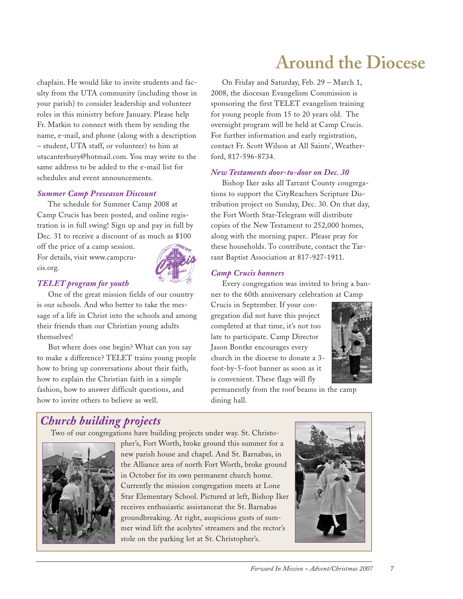**Around the Diocese**

chaplain. He would like to invite students and faculty from the UTA community (including those in your parish) to consider leadership and volunteer roles in this ministry before January. Please help Fr. Matkin to connect with them by sending the name, e-mail, and phone (along with a description – student, UTA staff, or volunteer) to him at utacanterbury@hotmail.com. You may write to the same address to be added to the e-mail list for schedules and event announcements.

#### *Summer Camp Preseason Discount*

The schedule for Summer Camp 2008 at Camp Crucis has been posted, and online registration is in full swing! Sign up and pay in full by Dec. 31 to receive a discount of as much as \$100

off the price of a camp session. For details, visit www.campcrucis.org.



#### *TELET program for youth*

One of the great mission fields of our country is our schools. And who better to take the message of a life in Christ into the schools and among their friends than our Christian young adults themselves!

But where does one begin? What can you say to make a difference? TELET trains young people how to bring up conversations about their faith, how to explain the Christian faith in a simple fashion, how to answer difficult questions, and how to invite others to believe as well.

On Friday and Saturday, Feb. 29 – March 1, 2008, the diocesan Evangelism Commission is sponsoring the first TELET evangelism training for young people from 15 to 20 years old. The overnight program will be held at Camp Crucis. For further information and early registration, contact Fr. Scott Wilson at All Saints', Weatherford, 817-596-8734.

#### *New Testaments door-to-door on Dec. 30*

Bishop Iker asks all Tarrant County congregations to support the CityReachers Scripture Distribution project on Sunday, Dec. 30. On that day, the Fort Worth Star-Telegram will distribute copies of the New Testament to 252,000 homes, along with the morning paper.. Please pray for these households. To contribute, contact the Tarrant Baptist Association at 817-927-1911.

#### *Camp Crucis banners*

Every congregation was invited to bring a banner to the 60th anniversary celebration at Camp

Crucis in September. If your congregation did not have this project completed at that time, it's not too late to participate. Camp Director Jason Bontke encourages every church in the diocese to donate a 3 foot-by-5-foot banner as soon as it is convenient. These flags will fly



permanently from the roof beams in the camp dining hall.

### *Church building projects*

Two of our congregations have building projects under way. St. Christo-



pher's, Fort Worth, broke ground this summer for a new parish house and chapel. And St. Barnabas, in the Alliance area of north Fort Worth, broke ground in October for its own permanent church home. Currently the mission congregation meets at Lone Star Elementary School. Pictured at left, Bishop Iker receives enthusiastic assistanceat the St. Barnabas groundbreaking. At right, auspicious gusts of summer wind lift the acolytes' streamers and the rector's stole on the parking lot at St. Christopher's.

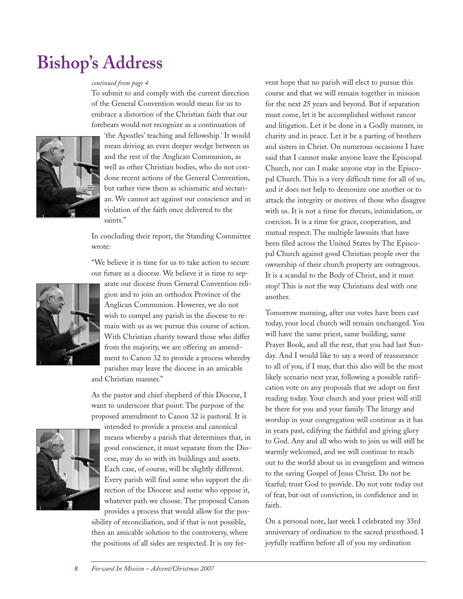#### *continued from page 4*

To submit to and comply with the current direction of the General Convention would mean for us to embrace a distortion of the Christian faith that our forebears would not recognize as a continuation of



'the Apostles' teaching and fellowship.' It would mean driving an even deeper wedge between us and the rest of the Anglican Communion, as well as other Christian bodies, who do not condone recent actions of the General Convention, but rather view them as schismatic and sectarian. We cannot act against our conscience and in violation of the faith once delivered to the saints."

In concluding their report, the Standing Committee wrote:

"We believe it is time for us to take action to secure our future as a diocese. We believe it is time to sep-



arate our diocese from General Convention religion and to join an orthodox Province of the Anglican Communion. However, we do not wish to compel any parish in the diocese to remain with us as we pursue this course of action. With Christian charity toward those who differ from the majority, we are offering an amendment to Canon 32 to provide a process whereby parishes may leave the diocese in an amicable and Christian manner."

As the pastor and chief shepherd of this Diocese, I want to underscore that point: The purpose of the proposed amendment to Canon 32 is pastoral. It is



intended to provide a process and canonical means whereby a parish that determines that, in good conscience, it must separate from the Diocese, may do so with its buildings and assets. Each case, of course, will be slightly different. Every parish will find some who support the direction of the Diocese and some who oppose it, whatever path we choose. The proposed Canon provides a process that would allow for the pos-

sibility of reconciliation, and if that is not possible, then an amicable solution to the controversy, where the positions of all sides are respected. It is my fervent hope that no parish will elect to pursue this course and that we will remain together in mission for the next 25 years and beyond. But if separation must come, let it be accomplished without rancor and litigation. Let it be done in a Godly manner, in charity and in peace. Let it be a parting of brothers and sisters in Christ. On numerous occasions I have said that I cannot make anyone leave the Episcopal Church, nor can I make anyone stay in the Episcopal Church. This is a very difficult time for all of us, and it does not help to demonize one another or to attack the integrity or motives of those who disagree with us. It is not a time for threats, intimidation, or coercion. It is a time for grace, cooperation, and mutual respect. The multiple lawsuits that have been filed across the United States by The Episcopal Church against good Christian people over the ownership of their church property are outrageous. It is a scandal to the Body of Christ, and it must stop! This is not the way Christians deal with one another.

Tomorrow morning, after our votes have been cast today, your local church will remain unchanged. You will have the same priest, same building, same Prayer Book, and all the rest, that you had last Sunday. And I would like to say a word of reassurance to all of you, if I may, that this also will be the most likely scenario next year, following a possible ratification vote on any proposals that we adopt on first reading today. Your church and your priest will still be there for you and your family. The liturgy and worship in your congregation will continue as it has in years past, edifying the faithful and giving glory to God. Any and all who wish to join us will still be warmly welcomed, and we will continue to reach out to the world about us in evangelism and witness to the saving Gospel of Jesus Christ. Do not be fearful; trust God to provide. Do not vote today out of fear, but out of conviction, in confidence and in faith.

On a personal note, last week I celebrated my 33rd anniversary of ordination to the sacred priesthood. I joyfully reaffirm before all of you my ordination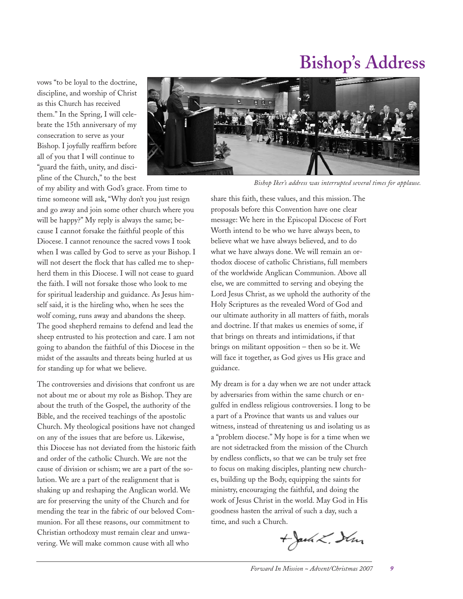vows "to be loyal to the doctrine, discipline, and worship of Christ as this Church has received them." In the Spring, I will celebrate the 15th anniversary of my consecration to serve as your Bishop. I joyfully reaffirm before all of you that I will continue to "guard the faith, unity, and discipline of the Church," to the best



*Bishop Iker's address was interrupted several times for applause.*

of my ability and with God's grace. From time to time someone will ask, "Why don't you just resign and go away and join some other church where you will be happy?" My reply is always the same; because I cannot forsake the faithful people of this Diocese. I cannot renounce the sacred vows I took when I was called by God to serve as your Bishop. I will not desert the flock that has called me to shepherd them in this Diocese. I will not cease to guard the faith. I will not forsake those who look to me for spiritual leadership and guidance. As Jesus himself said, it is the hireling who, when he sees the wolf coming, runs away and abandons the sheep. The good shepherd remains to defend and lead the sheep entrusted to his protection and care. I am not going to abandon the faithful of this Diocese in the midst of the assaults and threats being hurled at us for standing up for what we believe.

The controversies and divisions that confront us are not about me or about my role as Bishop. They are about the truth of the Gospel, the authority of the Bible, and the received teachings of the apostolic Church. My theological positions have not changed on any of the issues that are before us. Likewise, this Diocese has not deviated from the historic faith and order of the catholic Church. We are not the cause of division or schism; we are a part of the solution. We are a part of the realignment that is shaking up and reshaping the Anglican world. We are for preserving the unity of the Church and for mending the tear in the fabric of our beloved Communion. For all these reasons, our commitment to Christian orthodoxy must remain clear and unwavering. We will make common cause with all who

share this faith, these values, and this mission. The proposals before this Convention have one clear message: We here in the Episcopal Diocese of Fort Worth intend to be who we have always been, to believe what we have always believed, and to do what we have always done. We will remain an orthodox diocese of catholic Christians, full members of the worldwide Anglican Communion. Above all else, we are committed to serving and obeying the Lord Jesus Christ, as we uphold the authority of the Holy Scriptures as the revealed Word of God and our ultimate authority in all matters of faith, morals and doctrine. If that makes us enemies of some, if that brings on threats and intimidations, if that brings on militant opposition – then so be it. We will face it together, as God gives us His grace and guidance.

My dream is for a day when we are not under attack by adversaries from within the same church or engulfed in endless religious controversies. I long to be a part of a Province that wants us and values our witness, instead of threatening us and isolating us as a "problem diocese." My hope is for a time when we are not sidetracked from the mission of the Church by endless conflicts, so that we can be truly set free to focus on making disciples, planting new churches, building up the Body, equipping the saints for ministry, encouraging the faithful, and doing the work of Jesus Christ in the world. May God in His goodness hasten the arrival of such a day, such a time, and such a Church.

 $+$  Jack L. Strin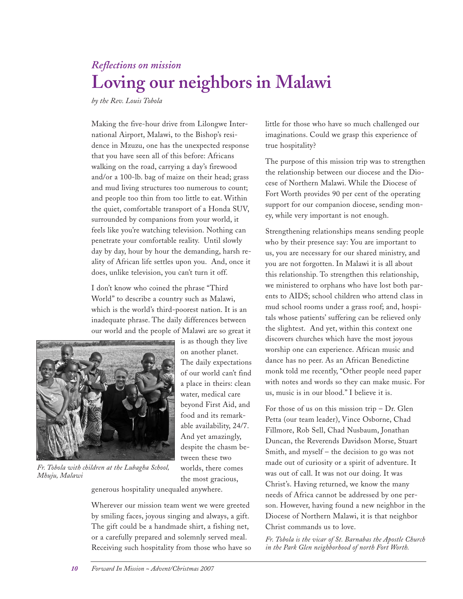### *Reflections on mission* **Loving our neighbors in Malawi**

*by the Rev. Louis Tobola*

Making the five-hour drive from Lilongwe International Airport, Malawi, to the Bishop's residence in Mzuzu, one has the unexpected response that you have seen all of this before: Africans walking on the road, carrying a day's firewood and/or a 100-lb. bag of maize on their head; grass and mud living structures too numerous to count; and people too thin from too little to eat. Within the quiet, comfortable transport of a Honda SUV, surrounded by companions from your world, it feels like you're watching television. Nothing can penetrate your comfortable reality. Until slowly day by day, hour by hour the demanding, harsh reality of African life settles upon you. And, once it does, unlike television, you can't turn it off.

I don't know who coined the phrase "Third World" to describe a country such as Malawi, which is the world's third-poorest nation. It is an inadequate phrase. The daily differences between our world and the people of Malawi are so great it



*Fr. Tobola with children at the Lubagha School, Mhuju, Malawi*

generous hospitality unequaled anywhere.

Wherever our mission team went we were greeted by smiling faces, joyous singing and always, a gift. The gift could be a handmade shirt, a fishing net, or a carefully prepared and solemnly served meal. Receiving such hospitality from those who have so

worlds, there comes the most gracious,

little for those who have so much challenged our imaginations. Could we grasp this experience of true hospitality?

The purpose of this mission trip was to strengthen the relationship between our diocese and the Diocese of Northern Malawi. While the Diocese of Fort Worth provides 90 per cent of the operating support for our companion diocese, sending money, while very important is not enough.

Strengthening relationships means sending people who by their presence say: You are important to us, you are necessary for our shared ministry, and you are not forgotten. In Malawi it is all about this relationship. To strengthen this relationship, we ministered to orphans who have lost both parents to AIDS; school children who attend class in mud school rooms under a grass roof; and, hospitals whose patients' suffering can be relieved only the slightest. And yet, within this context one discovers churches which have the most joyous worship one can experience. African music and dance has no peer. As an African Benedictine monk told me recently, "Other people need paper with notes and words so they can make music. For us, music is in our blood." I believe it is.

For those of us on this mission trip – Dr. Glen Petta (our team leader), Vince Osborne, Chad Fillmore, Rob Sell, Chad Nusbaum, Jonathan Duncan, the Reverends Davidson Morse, Stuart Smith, and myself – the decision to go was not made out of curiosity or a spirit of adventure. It was out of call. It was not our doing. It was Christ's. Having returned, we know the many needs of Africa cannot be addressed by one person. However, having found a new neighbor in the Diocese of Northern Malawi, it is that neighbor Christ commands us to love.

*Fr. Tobola is the vicar of St. Barnabas the Apostle Church in the Park Glen neighborhood of north Fort Worth.*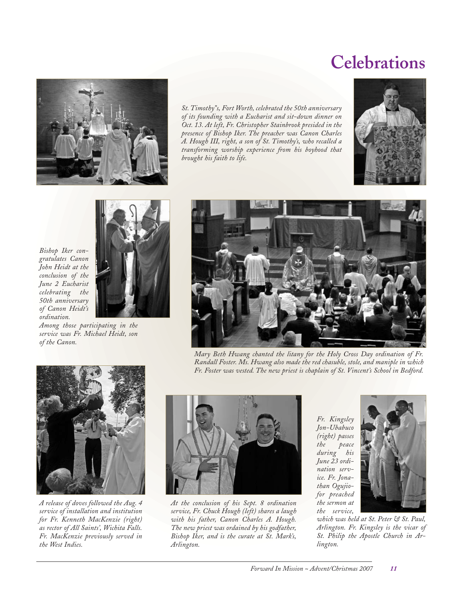## **Celebrations**



*St. Timothy"s, Fort Worth, celebrated the 50th anniversary of its founding with a Eucharist and sit-down dinner on Oct. 13. At left, Fr. Christopher Stainbrook presided in the presence of Bishop Iker. The preacher was Canon Charles A. Hough III, right, a son of St. Timothy's, who recalled a transforming worship experience from his boyhood that brought his faith to life.*





*Among those participating in the service was Fr. Michael Heidt, son of the Canon.*



*Mary Beth Hwang chanted the litany for the Holy Cross Day ordination of Fr. Randall Foster. Ms. Hwang also made the red chasuble, stole, and maniple in which Fr. Foster was vested. The new priest is chaplain of St. Vincent's School in Bedford.*



*A release of doves followed the Aug. 4 service of installation and institution for Fr. Kenneth MacKenzie (right) as rector of All Saints', Wichita Falls. Fr. MacKenzie previously served in the West Indies.*



*At the conclusion of his Sept. 8 ordination service, Fr. Chuck Hough (left) shares a laugh with his father, Canon Charles A. Hough. The new priest was ordained by his godfather, Bishop Iker, and is the curate at St. Mark's, Arlington.*

*Fr. Kingsley Jon-Ubabuco (right) passes the peace during his June 23 ordination service. Fr. Jonathan Ogujiofor preached the sermon at the service,*



*which was held at St. Peter & St. Paul, Arlington. Fr. Kingsley is the vicar of St. Philip the Apostle Church in Arlington.*